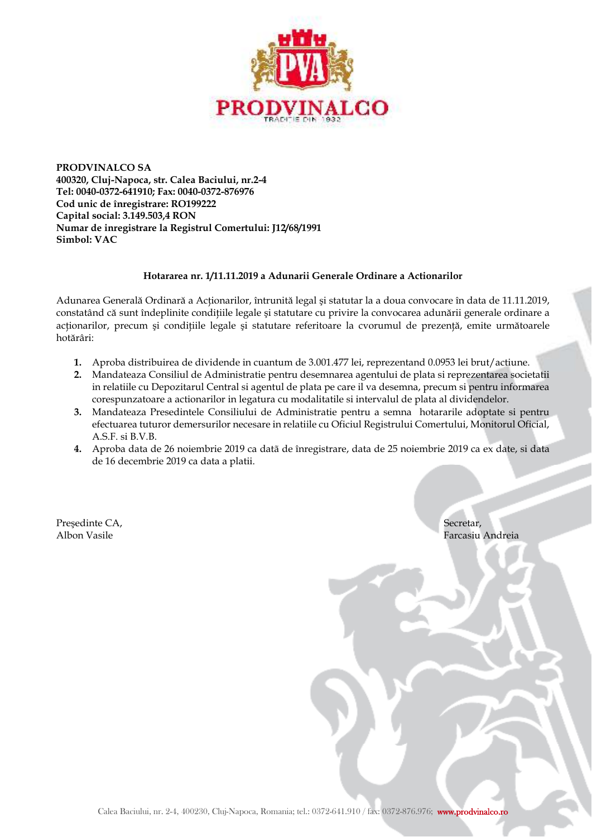

**PRODVINALCO SA 400320, Cluj-Napoca, str. Calea Baciului, nr.2-4 Tel: 0040-0372-641910; Fax: 0040-0372-876976 Cod unic de înregistrare: RO199222 Capital social: 3.149.503,4 RON Numar de inregistrare la Registrul Comertului: J12/68/1991 Simbol: VAC** 

## **Hotararea nr. 1/11.11.2019 a Adunarii Generale Ordinare a Actionarilor**

Adunarea Generală Ordinară a Actionarilor, întrunită legal și statutar la a doua convocare în data de 11.11.2019, constatând că sunt îndeplinite conditiile legale și statutare cu privire la convocarea adunării generale ordinare a acționarilor, precum și condițiile legale și statutare referitoare la cvorumul de prezență, emite următoarele hotărâri:

- **1.** Aproba distribuirea de dividende in cuantum de 3.001.477 lei, reprezentand 0.0953 lei brut/actiune.
- **2.** Mandateaza Consiliul de Administratie pentru desemnarea agentului de plata si reprezentarea societatii in relatiile cu Depozitarul Central si agentul de plata pe care il va desemna, precum si pentru informarea corespunzatoare a actionarilor in legatura cu modalitatile si intervalul de plata al dividendelor.
- **3.** Mandateaza Presedintele Consiliului de Administratie pentru a semna hotararile adoptate si pentru efectuarea tuturor demersurilor necesare in relatiile cu Oficiul Registrului Comertului, Monitorul Oficial, A.S.F. si B.V.B.
- **4.** Aproba data de 26 noiembrie 2019 ca datã de înregistrare, data de 25 noiembrie 2019 ca ex date, si data de 16 decembrie 2019 ca data a platii.

Presedinte CA, Secretar, Secretar, Secretar, Secretar, Secretar, Secretar, Secretar, Secretar, Secretar, Secretar, Secretar, Secretar, Secretar, Secretar, Secretar, Secretar, Secretar, Secretar, Secretar, Secretar, Secreta

Albon Vasile Farcasiu Andreia